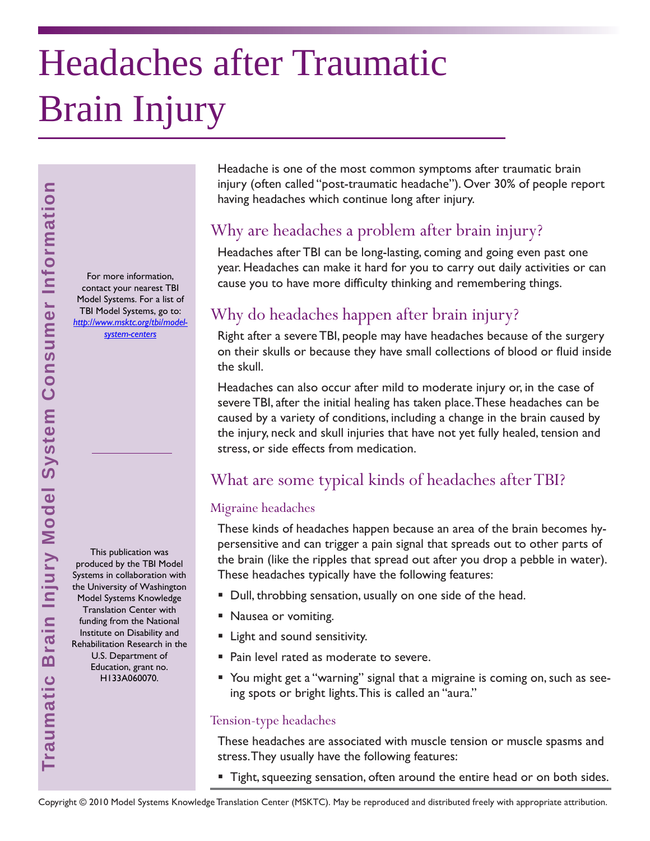# Headaches after Traumatic Brain Injury

For more information, contact your nearest TBI Model Systems. For a list of TBI Model Systems, go to: *[http://www.msktc.org/tbi/model](http://www.msktc.org/tbi/model-system-centers)system-centers* 

This publication was produced by the TBI Model Systems in collaboration with the University of Washington Model Systems Knowledge Translation Center with funding from the National Institute on Disability and Rehabilitation Research in the U.S. Department of Education, grant no. H133A060070.

Headache is one of the most common symptoms after traumatic brain injury (often called "post-traumatic headache"). Over 30% of people report having headaches which continue long after injury.

# Why are headaches a problem after brain injury?

Headaches after TBI can be long-lasting, coming and going even past one year. Headaches can make it hard for you to carry out daily activities or can cause you to have more difficulty thinking and remembering things.

# Why do headaches happen after brain injury?

Right after a severe TBI, people may have headaches because of the surgery on their skulls or because they have small collections of blood or fluid inside the skull.

Headaches can also occur after mild to moderate injury or, in the case of severe TBI, after the initial healing has taken place. These headaches can be caused by a variety of conditions, including a change in the brain caused by the injury, neck and skull injuries that have not yet fully healed, tension and stress, or side effects from medication.

## What are some typical kinds of headaches after TBI?

#### Migraine headaches

These kinds of headaches happen because an area of the brain becomes hypersensitive and can trigger a pain signal that spreads out to other parts of the brain (like the ripples that spread out after you drop a pebble in water). These headaches typically have the following features:

- Dull, throbbing sensation, usually on one side of the head.
- **Nausea or vomiting.**
- **E** Light and sound sensitivity.
- **Pain level rated as moderate to severe.**
- You might get a "warning" signal that a migraine is coming on, such as seeing spots or bright lights. This is called an "aura."

#### Tension-type headaches

These headaches are associated with muscle tension or muscle spasms and stress. They usually have the following features:

**Tight, squeezing sensation, often around the entire head or on both sides.**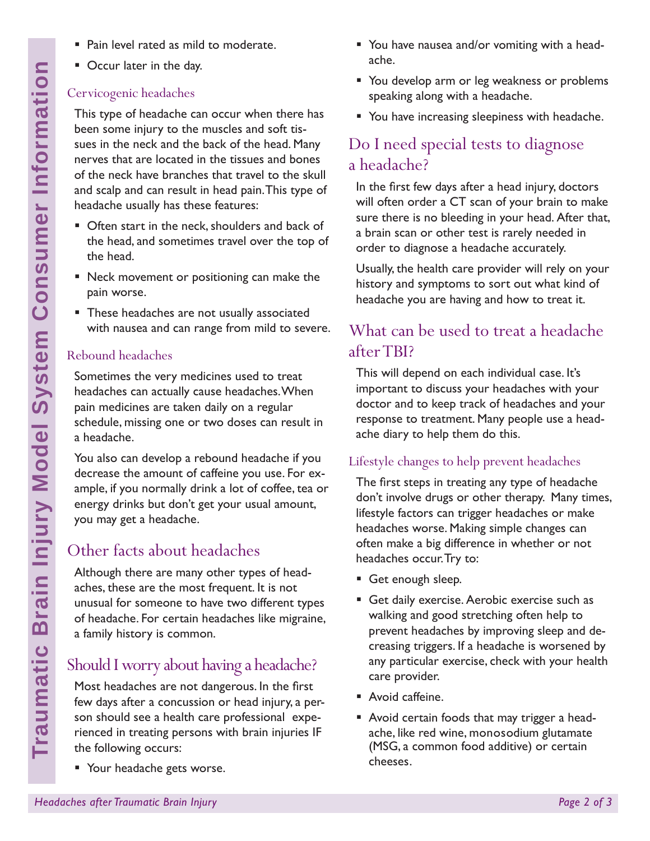- Pain level rated as mild to moderate.
- Occur later in the day.

## Cervicogenic headaches

This type of headache can occur when there has been some injury to the muscles and soft tissues in the neck and the back of the head. Many nerves that are located in the tissues and bones of the neck have branches that travel to the skull and scalp and can result in head pain. This type of headache usually has these features:

- **D** Often start in the neck, shoulders and back of the head, and sometimes travel over the top of the head.
- Neck movement or positioning can make the pain worse.
- **These headaches are not usually associated** with nausea and can range from mild to severe.

### Rebound headaches

Sometimes the very medicines used to treat headaches can actually cause headaches. When pain medicines are taken daily on a regular schedule, missing one or two doses can result in a headache.

You also can develop a rebound headache if you decrease the amount of caffeine you use. For example, if you normally drink a lot of coffee, tea or energy drinks but don't get your usual amount, you may get a headache.

# Other facts about headaches

Although there are many other types of headaches, these are the most frequent. It is not unusual for someone to have two different types of headache. For certain headaches like migraine, a family history is common.

# Should I worry about having a headache?

Most headaches are not dangerous. In the first few days after a concussion or head injury, a person should see a health care professional experienced in treating persons with brain injuries IF the following occurs:

**Your headache gets worse.** 

- You have nausea and/or vomiting with a headache.
- You develop arm or leg weakness or problems speaking along with a headache.
- **You have increasing sleepiness with headache.**

# Do I need special tests to diagnose a headache?

In the first few days after a head injury, doctors will often order a CT scan of your brain to make sure there is no bleeding in your head. After that, a brain scan or other test is rarely needed in order to diagnose a headache accurately.

Usually, the health care provider will rely on your history and symptoms to sort out what kind of headache you are having and how to treat it.

# What can be used to treat a headache after TBI?

This will depend on each individual case. It's important to discuss your headaches with your doctor and to keep track of headaches and your response to treatment. Many people use a headache diary to help them do this.

## Lifestyle changes to help prevent headaches

The first steps in treating any type of headache don't involve drugs or other therapy. Many times, lifestyle factors can trigger headaches or make headaches worse. Making simple changes can often make a big difference in whether or not headaches occur. Try to:

- Get enough sleep.
- Get daily exercise. Aerobic exercise such as walking and good stretching often help to prevent headaches by improving sleep and decreasing triggers. If a headache is worsened by any particular exercise, check with your health care provider.
- **Avoid caffeine.**
- Avoid certain foods that may trigger a headache, like red wine, monosodium glutamate (MSG, a common food additive) or certain cheeses.